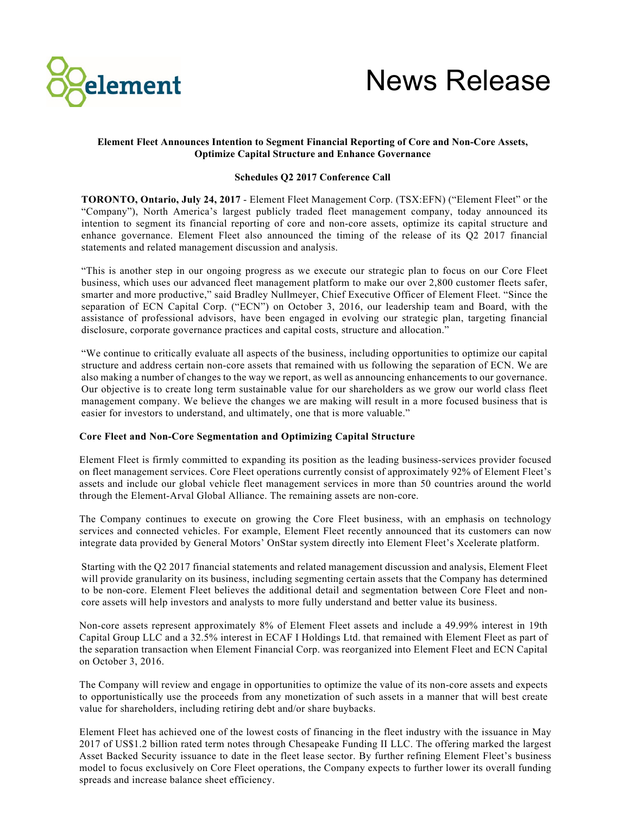



# **Element Fleet Announces Intention to Segment Financial Reporting of Core and Non-Core Assets, Optimize Capital Structure and Enhance Governance**

## **Schedules Q2 2017 Conference Call**

**TORONTO, Ontario, July 24, 2017** - Element Fleet Management Corp. (TSX:EFN) ("Element Fleet" or the "Company"), North America's largest publicly traded fleet management company, today announced its intention to segment its financial reporting of core and non-core assets, optimize its capital structure and enhance governance. Element Fleet also announced the timing of the release of its Q2 2017 financial statements and related management discussion and analysis.

"This is another step in our ongoing progress as we execute our strategic plan to focus on our Core Fleet business, which uses our advanced fleet management platform to make our over 2,800 customer fleets safer, smarter and more productive," said Bradley Nullmeyer, Chief Executive Officer of Element Fleet. "Since the separation of ECN Capital Corp. ("ECN") on October 3, 2016, our leadership team and Board, with the assistance of professional advisors, have been engaged in evolving our strategic plan, targeting financial disclosure, corporate governance practices and capital costs, structure and allocation."

"We continue to critically evaluate all aspects of the business, including opportunities to optimize our capital structure and address certain non-core assets that remained with us following the separation of ECN. We are also making a number of changes to the way we report, as well as announcing enhancements to our governance. Our objective is to create long term sustainable value for our shareholders as we grow our world class fleet management company. We believe the changes we are making will result in a more focused business that is easier for investors to understand, and ultimately, one that is more valuable."

## **Core Fleet and Non-Core Segmentation and Optimizing Capital Structure**

Element Fleet is firmly committed to expanding its position as the leading business-services provider focused on fleet management services. Core Fleet operations currently consist of approximately 92% of Element Fleet's assets and include our global vehicle fleet management services in more than 50 countries around the world through the Element-Arval Global Alliance. The remaining assets are non-core.

The Company continues to execute on growing the Core Fleet business, with an emphasis on technology services and connected vehicles. For example, Element Fleet recently announced that its customers can now integrate data provided by General Motors' OnStar system directly into Element Fleet's Xcelerate platform.

Starting with the Q2 2017 financial statements and related management discussion and analysis, Element Fleet will provide granularity on its business, including segmenting certain assets that the Company has determined to be non-core. Element Fleet believes the additional detail and segmentation between Core Fleet and noncore assets will help investors and analysts to more fully understand and better value its business.

Non-core assets represent approximately 8% of Element Fleet assets and include a 49.99% interest in 19th Capital Group LLC and a 32.5% interest in ECAF I Holdings Ltd. that remained with Element Fleet as part of the separation transaction when Element Financial Corp. was reorganized into Element Fleet and ECN Capital on October 3, 2016.

The Company will review and engage in opportunities to optimize the value of its non-core assets and expects to opportunistically use the proceeds from any monetization of such assets in a manner that will best create value for shareholders, including retiring debt and/or share buybacks.

Element Fleet has achieved one of the lowest costs of financing in the fleet industry with the issuance in May 2017 of US\$1.2 billion rated term notes through Chesapeake Funding II LLC. The offering marked the largest Asset Backed Security issuance to date in the fleet lease sector. By further refining Element Fleet's business model to focus exclusively on Core Fleet operations, the Company expects to further lower its overall funding spreads and increase balance sheet efficiency.